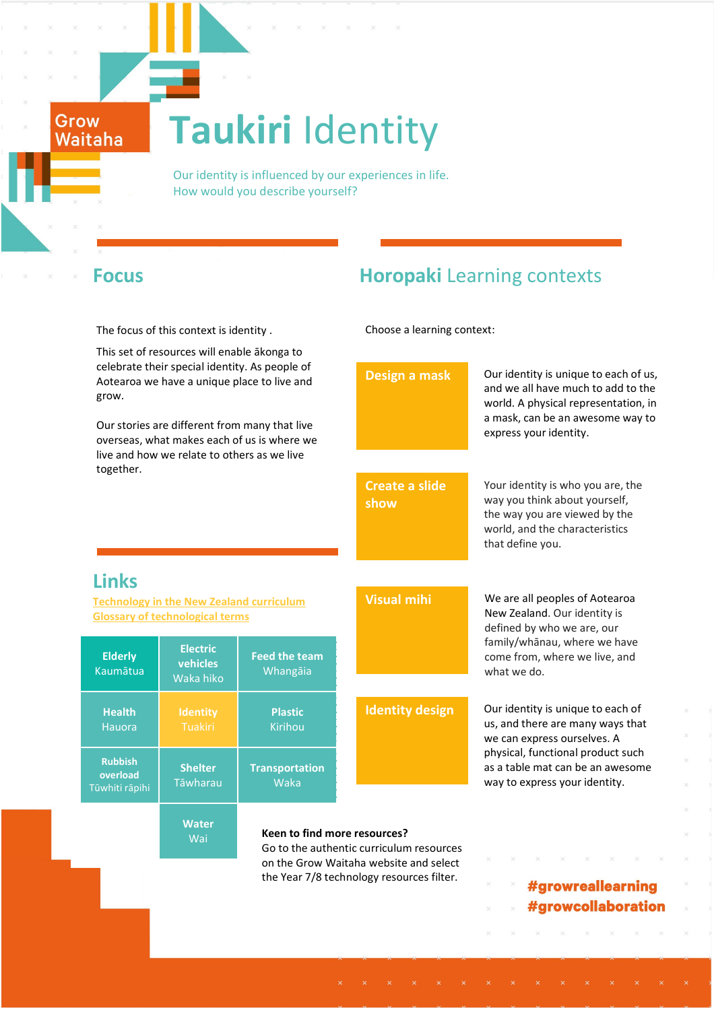# **Taukiri** Identity

 Our identity is influenced by our experiences in life. How would you describe yourself?

Grow Waitaha

**Rubbish overload** Tūwhiti rāpihi

The focus of this context is identity .

This set of resources will enable ākonga to celebrate their sp Aotearoa we have grow.

# **Focus Horopaki** Learning contexts

Choose a learning context:

| celebrate their special identity. As people of<br>Aotearoa we have a unique place to live and<br>grow.<br>Our stories are different from many that live<br>overseas, what makes each of us is where we<br>live and how we relate to others as we live |                                          |                                  | Design a mask                                                                       | Our identity is unique to each of us,<br>and we all have much to add to the<br>world. A physical representation, in<br>a mask, can be an awesome way to<br>express your identity. |
|-------------------------------------------------------------------------------------------------------------------------------------------------------------------------------------------------------------------------------------------------------|------------------------------------------|----------------------------------|-------------------------------------------------------------------------------------|-----------------------------------------------------------------------------------------------------------------------------------------------------------------------------------|
| together.                                                                                                                                                                                                                                             |                                          |                                  | <b>Create a slide</b><br>show                                                       | Your identity is who you are, the<br>way you think about yourself,<br>the way you are viewed by the<br>world, and the characteristics<br>that define you.                         |
| <b>Links</b><br><b>Technology in the New Zealand curriculum</b><br><b>Glossary of technological terms</b>                                                                                                                                             |                                          |                                  | <b>Visual mihi</b>                                                                  | We are all peoples of Aotearoa<br>New Zealand. Our identity is<br>defined by who we are, our                                                                                      |
| <b>Elderly</b><br><b>Kaumātua</b>                                                                                                                                                                                                                     | <b>Electric</b><br>vehicles<br>Waka hiko | <b>Feed the team</b><br>Whangāia |                                                                                     | family/whānau, where we have<br>come from, where we live, and<br>what we do.                                                                                                      |
| <b>Health</b><br>Hauora                                                                                                                                                                                                                               | <b>Identity</b><br><b>Tuakiri</b>        | <b>Plastic</b><br>Kirihou        | <b>Identity design</b>                                                              | Our identity is unique to each of<br>us, and there are many ways that<br>we can express ourselves. A                                                                              |
| <b>Rubbish</b><br>overload<br>Tūwhiti rāpihi                                                                                                                                                                                                          | <b>Shelter</b><br>Tāwharau               | <b>Transportation</b><br>Waka    |                                                                                     | physical, functional product such<br>as a table mat can be an awesome<br>way to express your identity.                                                                            |
|                                                                                                                                                                                                                                                       | <b>Water</b><br>Wai                      | Keen to find more resources?     | Go to the authentic curriculum resources                                            |                                                                                                                                                                                   |
|                                                                                                                                                                                                                                                       |                                          |                                  | on the Grow Waitaha website and select<br>the Year 7/8 technology resources filter. | #growreallearning<br>#growcollaboration                                                                                                                                           |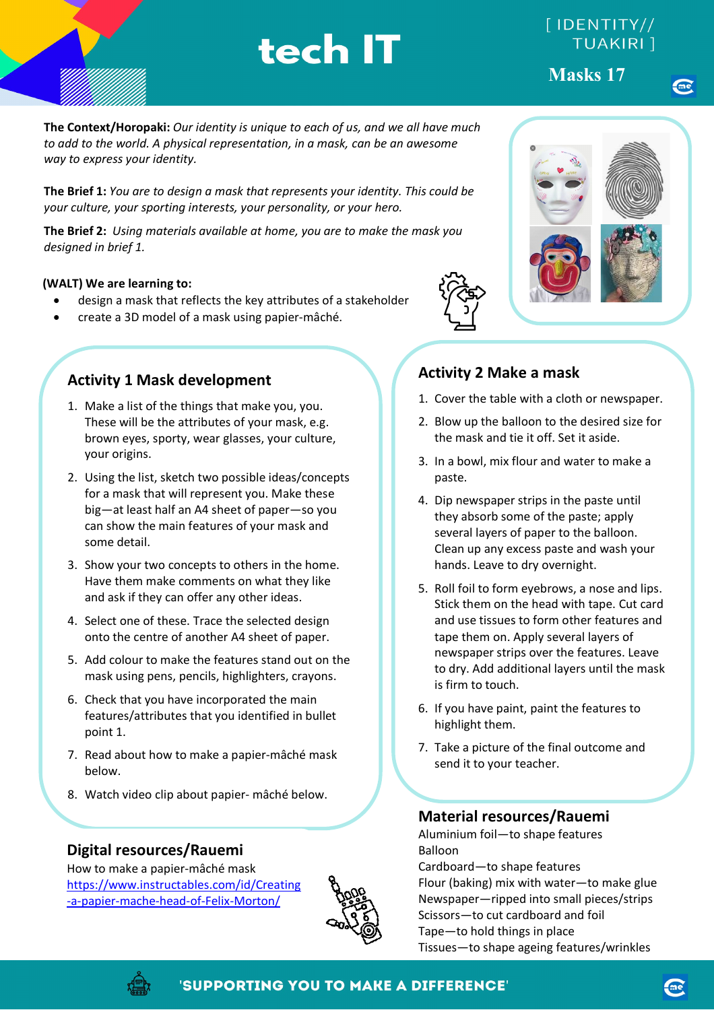# $[$  IDENTITY// **TUAKIRI** 1

**Masks 17**

**The Context/Horopaki:** *Our identity is unique to each of us, and we all have much to add to the world. A physical representation, in a mask, can be an awesome way to express your identity.* 

**The Brief 1:** *You are to design a mask that represents your identity. This could be your culture, your sporting interests, your personality, or your hero.*

**The Brief 2:** *Using materials available at home, you are to make the mask you designed in brief 1.* 

#### **(WALT) We are learning to:**

- design a mask that reflects the key attributes of a stakeholder
- create a 3D model of a mask using papier-mâché.

# **Activity 1 Mask development**

- 1. Make a list of the things that make you, you. These will be the attributes of your mask, e.g. brown eyes, sporty, wear glasses, your culture, your origins.
- 2. Using the list, sketch two possible ideas/concepts for a mask that will represent you. Make these big—at least half an A4 sheet of paper—so you can show the main features of your mask and some detail.
- 3. Show your two concepts to others in the home. Have them make comments on what they like and ask if they can offer any other ideas.
- 4. Select one of these. Trace the selected design onto the centre of another A4 sheet of paper.
- 5. Add colour to make the features stand out on the mask using pens, pencils, highlighters, crayons.
- 6. Check that you have incorporated the main features/attributes that you identified in bullet point 1.
- 7. Read about how to make a papier-mâché mask below.
- 8. Watch video clip about papier- mâché below.

## **Digital resources/Rauemi**

How to make a papier-mâché mask [https://www.instructables.com/id/Creating](https://www.instructables.com/id/Creating-a-papier-mache-head-of-Felix-Morton/) [-a-papier-mache-head-of-Felix-Morton/](https://www.instructables.com/id/Creating-a-papier-mache-head-of-Felix-Morton/)





# **Activity 2 Make a mask**

- 1. Cover the table with a cloth or newspaper.
- 2. Blow up the balloon to the desired size for the mask and tie it off. Set it aside.
- 3. In a bowl, mix flour and water to make a paste.
- 4. Dip newspaper strips in the paste until they absorb some of the paste; apply several layers of paper to the balloon. Clean up any excess paste and wash your hands. Leave to dry overnight.
- 5. Roll foil to form eyebrows, a nose and lips. Stick them on the head with tape. Cut card and use tissues to form other features and tape them on. Apply several layers of newspaper strips over the features. Leave to dry. Add additional layers until the mask is firm to touch.
- 6. If you have paint, paint the features to highlight them.
- 7. Take a picture of the final outcome and send it to your teacher.

### **Material resources/Rauemi**

Aluminium foil—to shape features Balloon Cardboard—to shape features Flour (baking) mix with water—to make glue Newspaper—ripped into small pieces/strips Scissors—to cut cardboard and foil Tape—to hold things in place Tissues—to shape ageing features/wrinkles



## 'SUPPORTING YOU TO MAKE A DIFFERENCE'

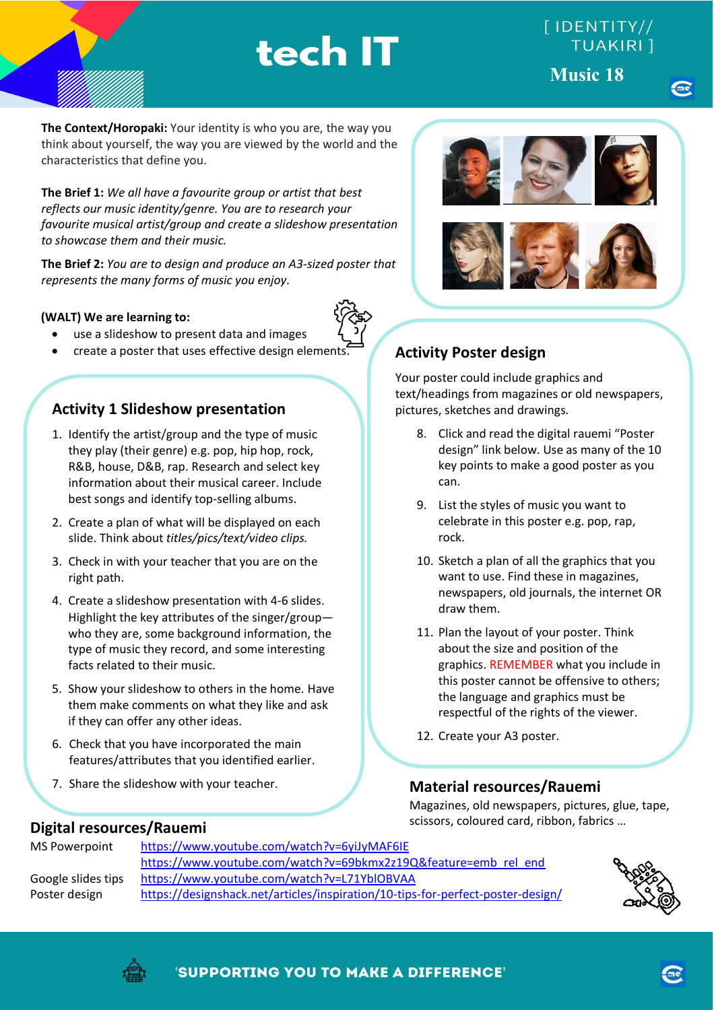# $[$  IDENTITY// **TUAKIRI** 1

**Music 18 Music 18**

**The Context/Horopaki:** Your identity is who you are, the way you think about yourself, the way you are viewed by the world and the characteristics that define you.

**The Brief 1:** *We all have a favourite group or artist that best reflects our music identity/genre. You are to research your favourite musical artist/group and create a slideshow presentation to showcase them and their music.*

**The Brief 2:** *You are to design and produce an A3-sized poster that represents the many forms of music you enjoy.* 

#### **(WALT) We are learning to:**

- use a slideshow to present data and images
- create a poster that uses effective design elements.

## **Activity 1 Slideshow presentation**

- 1. Identify the artist/group and the type of music they play (their genre) e.g. pop, hip hop, rock, R&B, house, D&B, rap. Research and select key information about their musical career. Include best songs and identify top-selling albums.
- 2. Create a plan of what will be displayed on each slide. Think about *titles/pics/text/video clips.*
- 3. Check in with your teacher that you are on the right path.
- 4. Create a slideshow presentation with 4-6 slides. Highlight the key attributes of the singer/group who they are, some background information, the type of music they record, and some interesting facts related to their music.
- 5. Show your slideshow to others in the home. Have them make comments on what they like and ask if they can offer any other ideas.
- 6. Check that you have incorporated the main features/attributes that you identified earlier.
- 7. Share the slideshow with your teacher.

# **Activity Poster design**

Your poster could include graphics and text/headings from magazines or old newspapers, pictures, sketches and drawings*.* 

- 8. Click and read the digital rauemi "Poster design" link below. Use as many of the 10 key points to make a good poster as you can.
- 9. List the styles of music you want to celebrate in this poster e.g. pop, rap, rock.
- 10. Sketch a plan of all the graphics that you want to use. Find these in magazines, newspapers, old journals, the internet OR draw them.
- 11. Plan the layout of your poster. Think about the size and position of the graphics. REMEMBER what you include in this poster cannot be offensive to others; the language and graphics must be respectful of the rights of the viewer.
- 12. Create your A3 poster.

#### **Material resources/Rauemi**  $\overline{a}$

Magazines, old newspapers, pictures, glue, tape, scissors, coloured card, ribbon, fabrics …

#### **Digital resources/Rauemi**

| MS Powerpoint      | https://www.youtube.com/watch?v=6yiJyMAF6IE                                     |  |  |  |
|--------------------|---------------------------------------------------------------------------------|--|--|--|
|                    | https://www.youtube.com/watch?v=69bkmx2z19Q&feature=emb rel end                 |  |  |  |
| Google slides tips | https://www.youtube.com/watch?v=L71YblOBVAA                                     |  |  |  |
| Poster design      | https://designshack.net/articles/inspiration/10-tips-for-perfect-poster-design/ |  |  |  |





'SUPPORTING YOU TO MAKE A DIFFERENCE'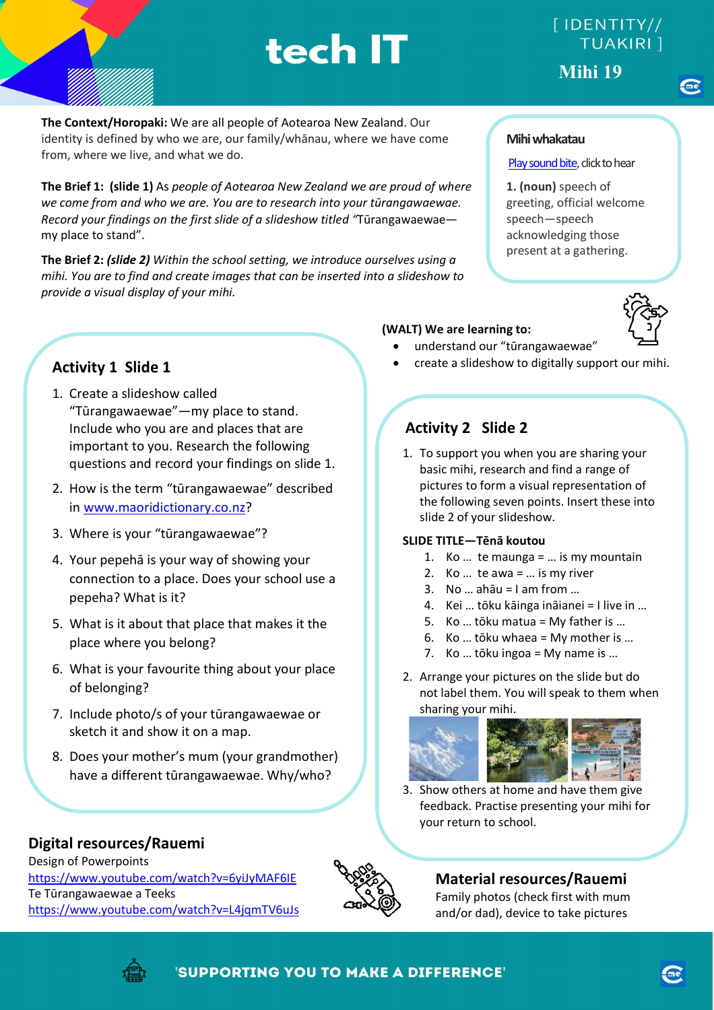# [IDENTITY// **TUAKIRI** 1 **Mihi 19**

**The Context/Horopaki:** We are all people of Aotearoa New Zealand. Our identity is defined by who we are, our family/whānau, where we have come from, where we live, and what we do.

**The Brief 1: (slide 1)** As *people of Aotearoa New Zealand we are proud of where we come from and who we are. You are to research into your tūrangawaewae. Record your findings on the first slide of a slideshow titled "*Tūrangawaewae my place to stand".

**The Brief 2:** *(slide 2) Within the school setting, we introduce ourselves using a mihi. You are to find and create images that can be inserted into a slideshow to provide a visual display of your mihi.*

- 1. Create a slideshow called "Tūrangawaewae"—my place to stand. Include who you are and places that are important to you. Research the following questions and record your findings on slide 1.
- 2. How is the term "tūrangawaewae" described in [www.maoridictionary.co.nz?](http://www.maoridictionary.co.nz/)
- 3. Where is your "tūrangawaewae"?
- 4. Your pepehā is your way of showing your connection to a place. Does your school use a pepeha? What is it?
- 5. What is it about that place that makes it the place where you belong?
- 6. What is your favourite thing about your place of belonging?
- 7. Include photo/s of your tūrangawaewae or sketch it and show it on a map.
- 8. Does your mother's mum (your grandmother) have a different tūrangawaewae. Why/who?

### **Digital resources/Rauemi**

Design of Powerpoints <https://www.youtube.com/watch?v=6yiJyMAF6IE> Te Tūrangawaewae a Teeks <https://www.youtube.com/watch?v=L4jqmTV6uJs>



# **Material resources/Rauemi**

Family photos (check first with mum and/or dad), device to take pictures

#### **Mihi whakatau**

#### [Play sound bite,](https://maoridictionary.co.nz/search?idiom=&phrase=&proverb=&loan=&histLoanWords=&keywords=mihi+whakatau) click to hear

**1. (noun)** speech of greeting, official welcome speech—speech acknowledging those present at a gathering.



#### **(WALT) We are learning to:**

- understand our "tūrangawaewae"
- **Activity 1 Slide 1 Activity 1 Slide 1 Activity 1 Slide 1 Activity 1 Slide 1 Activity 1 Slide 1 Activity 1 Slide 1 Activity 1 Slide 1 Activity 1 Slide 1 Activity 1 Slide 1 Activity 1 Slide 1 Activity 1**

# **Activity 2 Slide 2**

1. To support you when you are sharing your basic mihi, research and find a range of pictures to form a visual representation of the following seven points. Insert these into slide 2 of your slideshow.

#### **SLIDE TITLE—Tēnā koutou**

- 1. Ko  $\ldots$  te maunga =  $\ldots$  is my mountain
- 2. Ko … te awa = … is my river
- 3. No  $\dots$  ahāu = I am from  $\dots$
- 4. Kei … tōku kāinga ināianei = I live in …
- 5. Ko … tōku matua = My father is …
- 6. Ko … tōku whaea = My mother is …
- 7. Ko … tōku ingoa = My name is …
- 2. Arrange your pictures on the slide but do not label them. You will speak to them when sharing your mihi.



 3. Show others at home and have them give feedback. Practise presenting your mihi for your return to school.